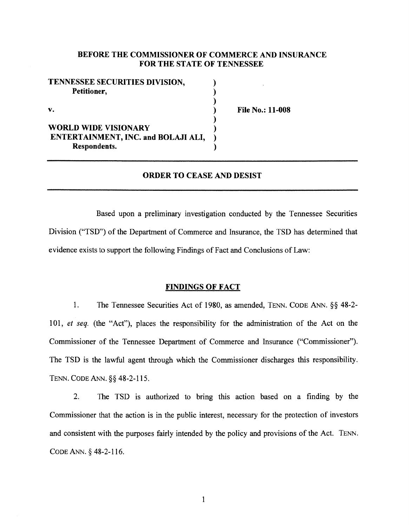# BEFORE THE COMMISSIONER OF COMMERCE AND INSURANCE FOR THE STATE OF TENNESSEE

| TENNESSEE SECURITIES DIVISION,             |  |
|--------------------------------------------|--|
| Petitioner,                                |  |
|                                            |  |
| $\mathbf{v}$ .                             |  |
| <b>WORLD WIDE VISIONARY</b>                |  |
| <b>ENTERTAINMENT, INC. and BOLAJI ALI,</b> |  |
| Respondents.                               |  |

File No.: 11-008

# ORDER TO CEASE AND DESIST

Based upon a preliminary investigation conducted by the Tennessee Securities Division ("TSD") of the Department of Commerce and Insurance, the TSD has determined that evidence exists to support the following Findings of Fact and Conclusions of Law:

#### FINDINGS OF FACT

1. The Tennessee Securities Act of 1980, as amended, TENN. CODE ANN. §§ 48-2- 101, *et seq.* (the "Act"), places the responsibility for the administration of the Act on the Commissioner of the Tennessee Department of Commerce and Insurance ("Commissioner"). The TSD is the lawful agent through which the Commissioner discharges this responsibility. TENN. CODE ANN. §§ 48-2-115.

2. The TSD is authorized to bring this action based on a finding by the Commissioner that the action is in the public interest, necessary for the protection of investors and consistent with the purposes fairly intended by the policy and provisions of the Act. TENN. CODE ANN.§ 48-2-116.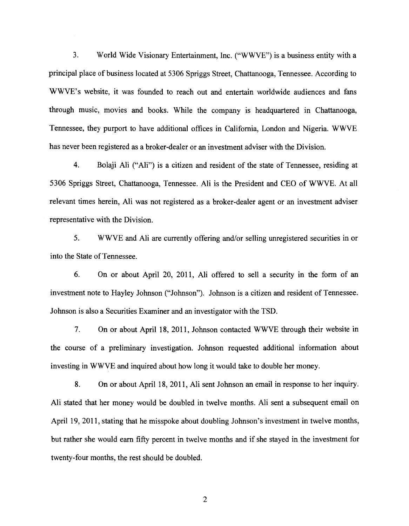3. World Wide Visionary Entertainment, Inc. ("WWVE") is a business entity with a principal place of business located at 5306 Spriggs Street, Chattanooga, Tennessee. According to WWVE's website, it was founded to reach out and entertain worldwide audiences and fans through music, movies and books. While the company is headquartered in Chattanooga, Tennessee, they purport to have additional offices in California, London and Nigeria. WWVE has never been registered as a broker-dealer or an investment adviser with the Division.

4. Bolaji Ali ("Ali") is a citizen and resident of the state of Tennessee, residing at 5306 Spriggs Street, Chattanooga, Tennessee. Ali is the President and CEO of WWVE. At all relevant times herein, Ali was not registered as a broker-dealer agent or an investment adviser representative with the Division.

5. WWVE and Ali are currently offering and/or selling unregistered securities in or into the State of Tennessee.

6. On or about April 20, 2011, Ali offered to sell a security in the form of an investment note to Hayley Johnson ("Johnson"). Johnson is a citizen and resident of Tennessee. Johnson is also a Securities Examiner and an investigator with the TSD.

7. On or about April 18, 2011, Johnson contacted WWVE through their website in the course of a preliminary investigation. Johnson requested additional information about investing in WWVE and inquired about how long it would take to double her money.

8. On or about April 18, 2011, Ali sent Johnson an email in response to her inquiry. Ali stated that her money would be doubled in twelve months. Ali sent a subsequent email on April 19, 2011, stating that he misspoke about doubling Johnson's investment in twelve months, but rather she would earn fifty percent in twelve months and if she stayed in the investment for twenty-four months, the rest should be doubled.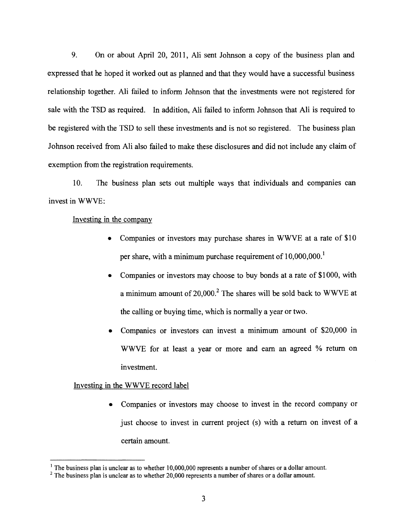9. On or about April 20, 2011, Ali sent Johnson a copy of the business plan and expressed that he hoped it worked out as planned and that they would have a successful business relationship together. Ali failed to inform Johnson that the investments were not registered for sale with the TSD as required. In addition, Ali failed to inform Johnson that Ali is required to be registered with the TSD to sell these investments and is not so registered. The business plan Johnson received from Ali also failed to make these disclosures and did not include any claim of exemption from the registration requirements.

10. The business plan sets out multiple ways that individuals and companies can invest in WWVE:

# Investing in the company

- Companies or investors may purchase shares in WWVE at a rate of \$10 per share, with a minimum purchase requirement of 10,000,000.<sup>1</sup>
- Companies or investors may choose to buy bonds at a rate of \$1 000, with a minimum amount of 20,000.<sup>2</sup> The shares will be sold back to WWVE at the calling or buying time, which is normally a year or two.
- Companies or investors can invest a minimum amount of \$20,000 m WWVE for at least a year or more and earn an agreed % return on investment.

# Investing in the WWVE record label

• Companies or investors may choose to invest in the record company or just choose to invest in current project (s) with a return on invest of a certain amount.

<sup>&</sup>lt;sup>1</sup> The business plan is unclear as to whether 10,000,000 represents a number of shares or a dollar amount. <sup>2</sup> The business plan is unclear as to whether 20,000 represents a number of shares or a dollar amount.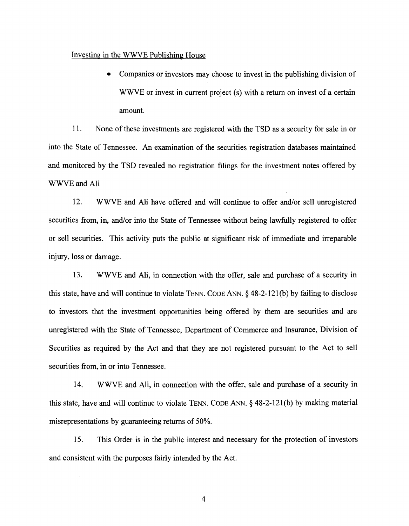#### Investing in the WWVE Publishing House

• Companies or investors may choose to invest in the publishing division of WWVE or invest in current project (s) with a return on invest of a certain amount.

11. None of these investments are registered with the TSD as a security for sale in or into the State of Tennessee. An examination of the securities registration databases maintained and monitored by the TSD revealed no registration filings for the investment notes offered by WWVE and Ali.

12. WWVE and Ali have offered and will continue to offer and/or sell unregistered securities from, in, and/or into the State of Tennessee without being lawfully registered to offer or sell securities. This activity puts the public at significant risk of immediate and irreparable injury, loss or damage.

13. WWVE and Ali, in connection with the offer, sale and purchase of a security in this state, have and will continue to violate TENN. CODE ANN.§ 48-2-121(b) by failing to disclose to investors that the investment opportunities being offered by them are securities and are unregistered with the State of Tennessee, Department of Commerce and Insurance, Division of Securities as required by the Act and that they are not registered pursuant to the Act to sell securities from, in or into Tennessee.

14. WWVE and Ali, in connection with the offer, sale and purchase of a security in this state, have and will continue to violate TENN. CODE ANN.§ 48-2-121(b) by making material misrepresentations by guaranteeing returns of 50%.

15. This Order is in the public interest and necessary for the protection of investors and consistent with the purposes fairly intended by the Act.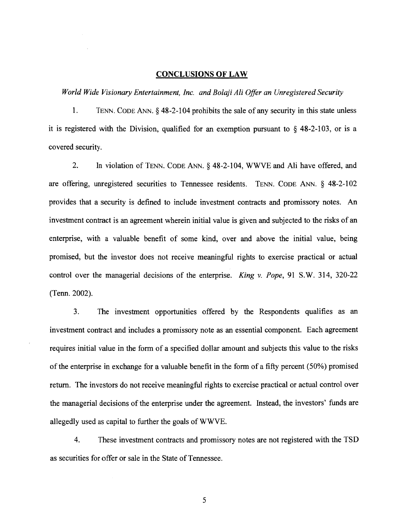#### **CONCLUSIONS OF LAW**

## *World Wide Visionary Entertainment, Inc. and Bolaji Ali Offer an Unregistered Security*

1. TENN. CODE ANN. § 48-2-104 prohibits the sale of any security in this state unless it is registered with the Division, qualified for an exemption pursuant to  $\S$  48-2-103, or is a covered security.

2. In violation of TENN. CODE ANN.§ 48-2-104, WWVE and Ali have offered, and are offering, unregistered securities to Tennessee residents. TENN. CODE ANN. § 48-2-102 provides that a security is defined to include investment contracts and promissory notes. An investment contract is an agreement wherein initial value is given and subjected to the risks of an enterprise, with a valuable benefit of some kind, over and above the initial value, being promised, but the investor does not receive meaningful rights to exercise practical or actual control over the managerial decisions of the enterprise. *King v. Pope,* 91 S.W. 314, 320-22 (Tenn. 2002).

3. The investment opportunities offered by the Respondents qualifies as an investment contract and includes a promissory note as an essential component. Each agreement requires initial value in the form of a specified dollar amount and subjects this value to the risks of the enterprise in exchange for a valuable benefit in the form of a fifty percent (50%) promised return. The investors do not receive meaningful rights to exercise practical or actual control over the managerial decisions of the enterprise under the agreement. Instead, the investors' funds are allegedly used as capital to further the goals ofWWVE.

4. These investment contracts and promissory notes are not registered with the TSD as securities for offer or sale in the State of Tennessee.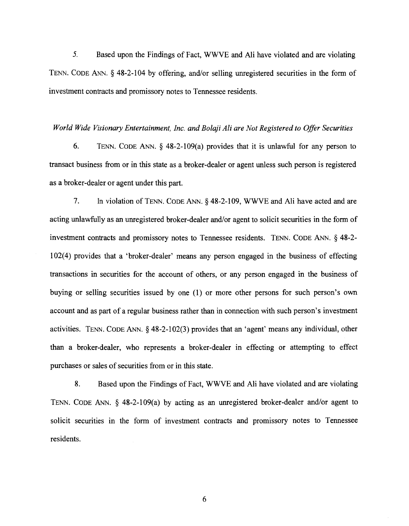*5.* Based upon the Findings of Fact, WWVE and Ali have violated and are violating TENN. CODE ANN. § 48-2-104 by offering, and/or selling unregistered securities in the form of investment contracts and promissory notes to Tennessee residents.

### *World Wide Visionary Entertainment, Inc. and Bolaji Ali are Not Registered to Offer Securities*

6. TENN. CODE ANN.  $\S$  48-2-109(a) provides that it is unlawful for any person to transact business from or in this state as a broker-dealer or agent unless such person is registered as a broker-dealer or agent under this part.

7. In violation of TENN. CODE ANN.§ 48-2-109, WWVE and Ali have acted and are acting unlawfully as an unregistered broker-dealer and/or agent to solicit securities in the form of investment contracts and promissory notes to Tennessee residents. TENN. CODE ANN. § 48-2- 102(4) provides that a 'broker-dealer' means any person engaged in the business of effecting transactions in securities for the account of others, or any person engaged in the business of buying or selling securities issued by one (1) or more other persons for such person's own account and as part of a regular business rather than in connection with such person's investment activities. TENN. CODE ANN. § 48-2-102(3) provides that an 'agent' means any individual, other than a broker-dealer, who represents a broker-dealer in effecting or attempting to effect purchases or sales of securities from or in this state.

8. Based upon the Findings of Fact, WWVE and Ali have violated and are violating TENN. CODE ANN. § 48-2-109(a) by acting as an unregistered broker-dealer and/or agent to solicit securities in the form of investment contracts and promissory notes to Tennessee residents.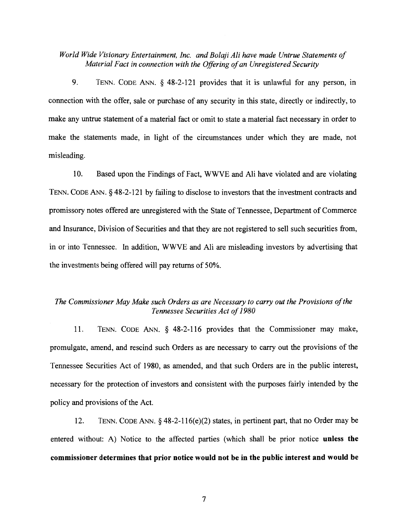*World Wide Visionary Entertainment, Inc. and Bolaji Ali have made Untrue Statements of Material Fact in connection with the Offering of an Unregistered Security* 

9. TENN. CoDE ANN. § 48-2-121 provides that it is unlawful for any person, in connection with the offer, sale or purchase of any security in this state, directly or indirectly, to make any untrue statement of a material fact or omit to state a material fact necessary in order to make the statements made, in light of the circumstances under which they are made, not misleading.

10. Based upon the Findings of Fact, WWVE and Ali have violated and are violating TENN. CODE ANN.§ 48-2-121 by failing to disclose to investors that the investment contracts and promissory notes offered are unregistered with the State of Tennessee, Department of Commerce and Insurance, Division of Securities and that they are not registered to sell such securities from, in or into Tennessee. In addition, WWVE and Ali are misleading investors by advertising that the investments being offered will pay returns of 50%.

# *The Commissioner May Make such Orders as are Necessary to carry out the Provisions of the Tennessee Securities Act of 1980*

11. TENN. CODE ANN. § 48-2-116 provides that the Commissioner may make, promulgate, amend, and rescind such Orders as are necessary to carry out the provisions of the Tennessee Securities Act of 1980, as amended, and that such Orders are in the public interest, necessary for the protection of investors and consistent with the purposes fairly intended by the policy and provisions of the Act.

12. TENN. CODE ANN. § 48-2-116(e)(2) states, in pertinent part, that no Order may be entered without: A) Notice to the affected parties (which shall be prior notice **unless the commissioner determines that prior notice would not be in the public interest and would be**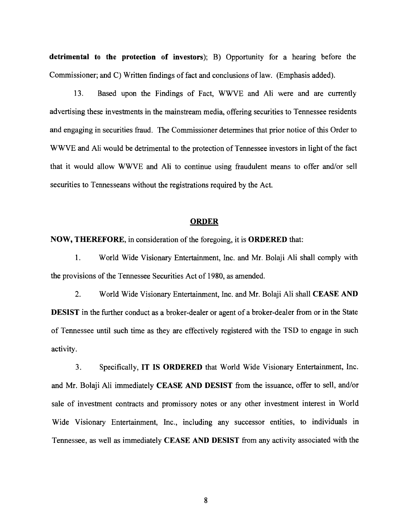detrimental to the protection of investors); B) Opportunity for a hearing before the Commissioner; and C) Written findings of fact and conclusions of law. (Emphasis added).

13. Based upon the Findings of Fact, WWVE and Ali were and are currently advertising these investments in the mainstream media, offering securities to Tennessee residents and engaging in securities fraud. The Commissioner determines that prior notice of this Order to WWVE and Ali would be detrimental to the protection of Tennessee investors in light of the fact that it would allow WWVE and Ali to continue using fraudulent means to offer and/or sell securities to Tennesseans without the registrations required by the Act.

# ORDER

NOW, THEREFORE, in consideration of the foregoing, it is ORDERED that:

1. World Wide Visionary Entertainment, Inc. and Mr. Bolaji Ali shall comply with the provisions of the Tennessee Securities Act of 1980, as amended.

2. World Wide Visionary Entertainment, Inc. and Mr. Bolaji Ali shall CEASE AND DESIST in the further conduct as a broker-dealer or agent of a broker-dealer from or in the State of Tennessee until such time as they are effectively registered with the TSD to engage in such activity.

3. Specifically, IT IS ORDERED that World Wide Visionary Entertainment, Inc. and Mr. Bolaji Ali immediately CEASE AND DESIST from the issuance, offer to sell, and/or sale of investment contracts and promissory notes or any other investment interest in World Wide Visionary Entertainment, Inc., including any successor entities, to individuals in Tennessee, as well as immediately CEASE AND DESIST from any activity associated with the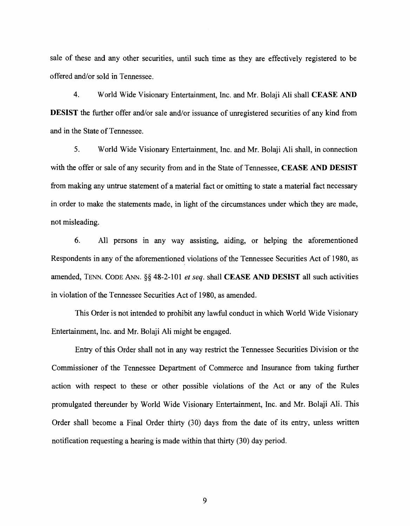sale of these and any other securities, until such time as they are effectively registered to be offered and/or sold in Tennessee.

**4.** World Wide Visionary Entertainment, Inc. and Mr. Bolaji Ali shall **CEASE AND DESIST** the further offer and/or sale and/or issuance of unregistered securities of any kind from and in the State of Tennessee.

5. World Wide Visionary Entertainment, Inc. and Mr. Bolaji Ali shall, in connection with the offer or sale of any security from and in the State of Tennessee, **CEASE AND DESIST**  from making any untrue statement of a material fact or omitting to state a material fact necessary in order to make the statements made, in light of the circumstances under which they are made, not misleading.

6. All persons in any way assisting, aiding, or helping the aforementioned Respondents in any of the aforementioned violations of the Tennessee Securities Act of 1980, as amended, TENN. CODE ANN.§§ 48-2-101 *et seq.* shall **CEASE AND DESIST** all such activities in violation of the Tennessee Securities Act of 1980, as amended.

This Order is not intended to prohibit any lawful conduct in which World Wide Visionary Entertainment, Inc. and Mr. Bolaji Ali might be engaged.

Entry of this Order shall not in any way restrict the Tennessee Securities Division or the Commissioner of the Tennessee Department of Commerce and Insurance from taking further action with respect to these or other possible violations of the Act or any of the Rules promulgated thereunder by World Wide Visionary Entertainment, Inc. and Mr. Bolaji Ali. This Order shall become a Final Order thirty (30) days from the date of its entry, unless written notification requesting a hearing is made within that thirty (30) day period.